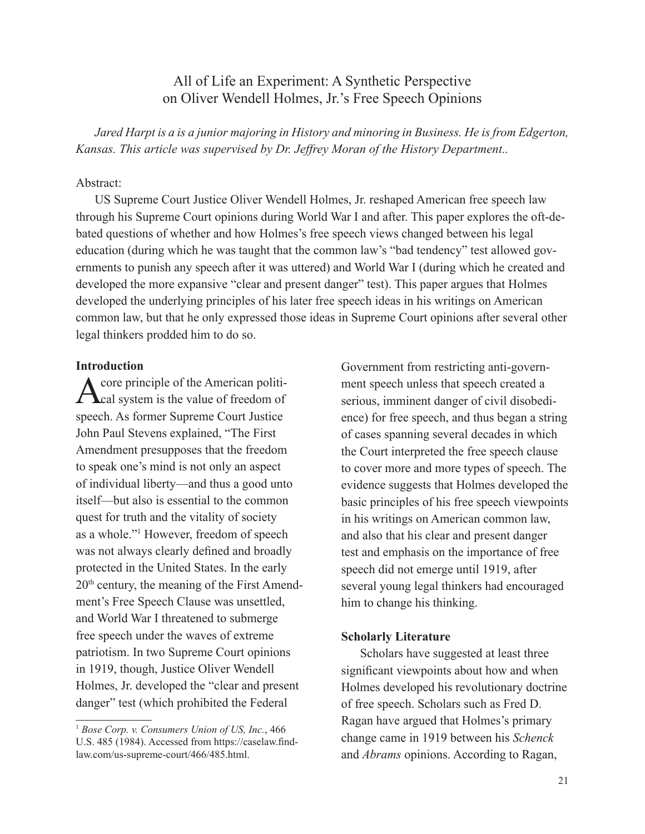## All of Life an Experiment: A Synthetic Perspective on Oliver Wendell Holmes, Jr.'s Free Speech Opinions

Jared Harpt is a is a junior majoring in History and minoring in Business. He is from Edgerton, *Kansas. This article was supervised by Dr. Jeffrey Moran of the History Department..*

### Abstract:

US Supreme Court Justice Oliver Wendell Holmes, Jr. reshaped American free speech law through his Supreme Court opinions during World War I and after. This paper explores the oft-debated questions of whether and how Holmes's free speech views changed between his legal education (during which he was taught that the common law's "bad tendency" test allowed governments to punish any speech after it was uttered) and World War I (during which he created and developed the more expansive "clear and present danger" test). This paper argues that Holmes developed the underlying principles of his later free speech ideas in his writings on American common law, but that he only expressed those ideas in Supreme Court opinions after several other legal thinkers prodded him to do so.

### **Introduction**

A core principle of the American politi-<br>Cal system is the value of freedom of speech. As former Supreme Court Justice John Paul Stevens explained, "The First Amendment presupposes that the freedom to speak one's mind is not only an aspect of individual liberty—and thus a good unto itself—but also is essential to the common quest for truth and the vitality of society as a whole."1 However, freedom of speech was not always clearly defined and broadly protected in the United States. In the early 20th century, the meaning of the First Amendment's Free Speech Clause was unsettled, and World War I threatened to submerge free speech under the waves of extreme patriotism. In two Supreme Court opinions in 1919, though, Justice Oliver Wendell Holmes, Jr. developed the "clear and present danger" test (which prohibited the Federal

Government from restricting anti-government speech unless that speech created a serious, imminent danger of civil disobedience) for free speech, and thus began a string of cases spanning several decades in which the Court interpreted the free speech clause to cover more and more types of speech. The evidence suggests that Holmes developed the basic principles of his free speech viewpoints in his writings on American common law, and also that his clear and present danger test and emphasis on the importance of free speech did not emerge until 1919, after several young legal thinkers had encouraged him to change his thinking.

#### **Scholarly Literature**

Scholars have suggested at least three significant viewpoints about how and when Holmes developed his revolutionary doctrine of free speech. Scholars such as Fred D. Ragan have argued that Holmes's primary change came in 1919 between his *Schenck*  and *Abrams* opinions. According to Ragan,

<sup>1</sup>  *Bose Corp. v. Consumers Union of US, Inc.*, 466 U.S. 485 (1984). Accessed from https://caselaw.findlaw.com/us-supreme-court/466/485.html.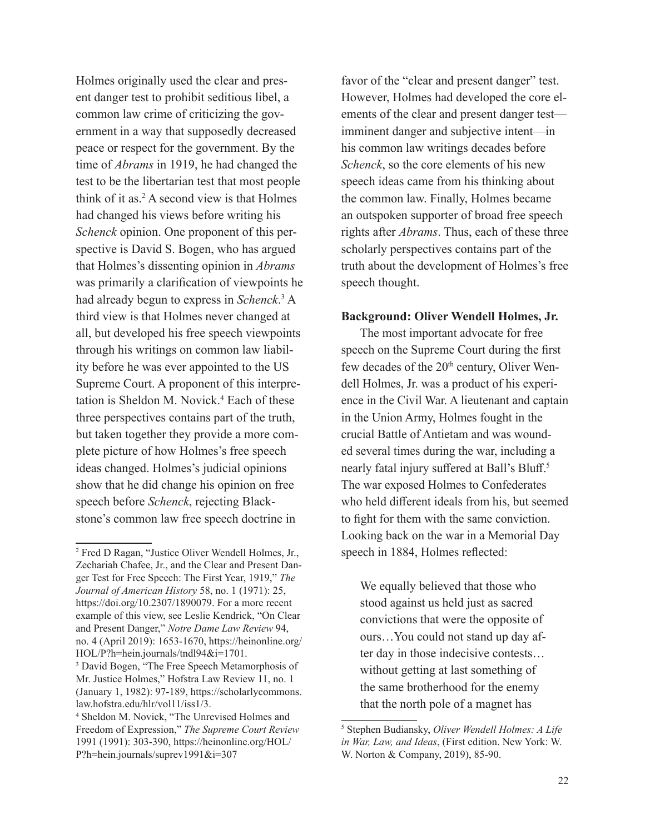Holmes originally used the clear and present danger test to prohibit seditious libel, a common law crime of criticizing the government in a way that supposedly decreased peace or respect for the government. By the time of *Abrams* in 1919, he had changed the test to be the libertarian test that most people think of it as.2 A second view is that Holmes had changed his views before writing his *Schenck* opinion. One proponent of this perspective is David S. Bogen, who has argued that Holmes's dissenting opinion in *Abrams* was primarily a clarification of viewpoints he had already begun to express in *Schenck*. 3 A third view is that Holmes never changed at all, but developed his free speech viewpoints through his writings on common law liability before he was ever appointed to the US Supreme Court. A proponent of this interpretation is Sheldon M. Novick.<sup>4</sup> Each of these three perspectives contains part of the truth, but taken together they provide a more complete picture of how Holmes's free speech ideas changed. Holmes's judicial opinions show that he did change his opinion on free speech before *Schenck*, rejecting Blackstone's common law free speech doctrine in

favor of the "clear and present danger" test. However, Holmes had developed the core elements of the clear and present danger test imminent danger and subjective intent—in his common law writings decades before *Schenck*, so the core elements of his new speech ideas came from his thinking about the common law. Finally, Holmes became an outspoken supporter of broad free speech rights after *Abrams*. Thus, each of these three scholarly perspectives contains part of the truth about the development of Holmes's free speech thought.

### **Background: Oliver Wendell Holmes, Jr.**

The most important advocate for free speech on the Supreme Court during the first few decades of the 20<sup>th</sup> century, Oliver Wendell Holmes, Jr. was a product of his experience in the Civil War. A lieutenant and captain in the Union Army, Holmes fought in the crucial Battle of Antietam and was wounded several times during the war, including a nearly fatal injury suffered at Ball's Bluff.<sup>5</sup> The war exposed Holmes to Confederates who held different ideals from his, but seemed to fight for them with the same conviction. Looking back on the war in a Memorial Day speech in 1884, Holmes reflected:

We equally believed that those who stood against us held just as sacred convictions that were the opposite of ours…You could not stand up day after day in those indecisive contests… without getting at last something of the same brotherhood for the enemy that the north pole of a magnet has

<sup>2</sup> Fred D Ragan, "Justice Oliver Wendell Holmes, Jr., Zechariah Chafee, Jr., and the Clear and Present Danger Test for Free Speech: The First Year, 1919," *The Journal of American History* 58, no. 1 (1971): 25, https://doi.org/10.2307/1890079. For a more recent example of this view, see Leslie Kendrick, "On Clear and Present Danger," *Notre Dame Law Review* 94, no. 4 (April 2019): 1653-1670, https://heinonline.org/ HOL/P?h=hein.journals/tndl94&i=1701.

<sup>3</sup> David Bogen, "The Free Speech Metamorphosis of Mr. Justice Holmes," Hofstra Law Review 11, no. 1 (January 1, 1982): 97-189, https://scholarlycommons. law.hofstra.edu/hlr/vol11/iss1/3.

<sup>4</sup> Sheldon M. Novick, "The Unrevised Holmes and Freedom of Expression," *The Supreme Court Review* 1991 (1991): 303-390, https://heinonline.org/HOL/ P?h=hein.journals/suprev1991&i=307

<sup>5</sup> Stephen Budiansky, *Oliver Wendell Holmes: A Life in War, Law, and Ideas*, (First edition. New York: W. W. Norton & Company, 2019), 85-90.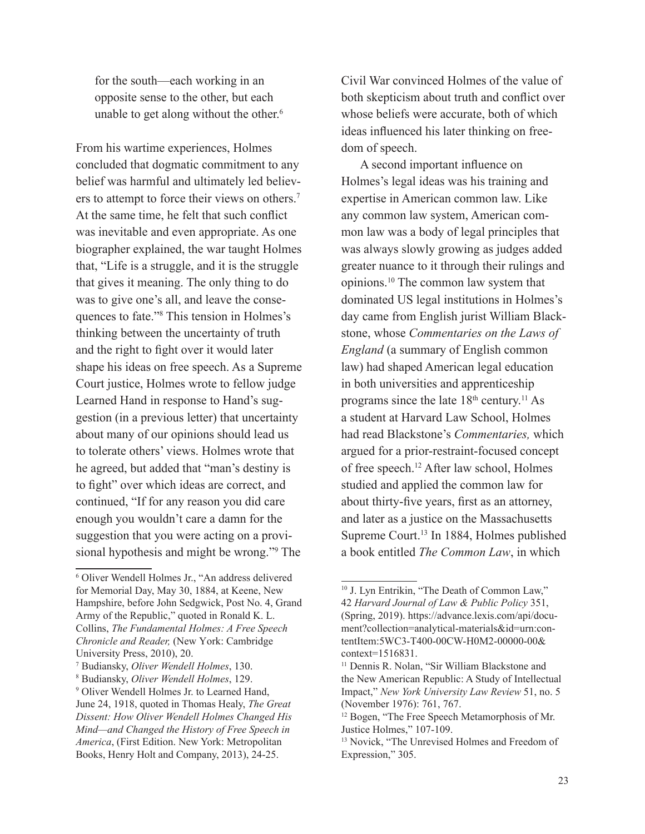for the south—each working in an opposite sense to the other, but each unable to get along without the other.<sup>6</sup>

From his wartime experiences, Holmes concluded that dogmatic commitment to any belief was harmful and ultimately led believers to attempt to force their views on others.<sup>7</sup> At the same time, he felt that such conflict was inevitable and even appropriate. As one biographer explained, the war taught Holmes that, "Life is a struggle, and it is the struggle that gives it meaning. The only thing to do was to give one's all, and leave the consequences to fate."8 This tension in Holmes's thinking between the uncertainty of truth and the right to fight over it would later shape his ideas on free speech. As a Supreme Court justice, Holmes wrote to fellow judge Learned Hand in response to Hand's suggestion (in a previous letter) that uncertainty about many of our opinions should lead us to tolerate others' views. Holmes wrote that he agreed, but added that "man's destiny is to fight" over which ideas are correct, and continued, "If for any reason you did care enough you wouldn't care a damn for the suggestion that you were acting on a provisional hypothesis and might be wrong."9 The Civil War convinced Holmes of the value of both skepticism about truth and conflict over whose beliefs were accurate, both of which ideas influenced his later thinking on freedom of speech.

A second important influence on Holmes's legal ideas was his training and expertise in American common law. Like any common law system, American common law was a body of legal principles that was always slowly growing as judges added greater nuance to it through their rulings and opinions.10 The common law system that dominated US legal institutions in Holmes's day came from English jurist William Blackstone, whose *Commentaries on the Laws of England* (a summary of English common law) had shaped American legal education in both universities and apprenticeship programs since the late  $18<sup>th</sup>$  century.<sup>11</sup> As a student at Harvard Law School, Holmes had read Blackstone's *Commentaries,* which argued for a prior-restraint-focused concept of free speech.<sup>12</sup> After law school, Holmes studied and applied the common law for about thirty-five years, first as an attorney, and later as a justice on the Massachusetts Supreme Court.13 In 1884, Holmes published a book entitled *The Common Law*, in which

<sup>6</sup> Oliver Wendell Holmes Jr., "An address delivered for Memorial Day, May 30, 1884, at Keene, New Hampshire, before John Sedgwick, Post No. 4, Grand Army of the Republic," quoted in Ronald K. L. Collins, *The Fundamental Holmes: A Free Speech Chronicle and Reader,* (New York: Cambridge University Press, 2010), 20.

<sup>7</sup> Budiansky, *Oliver Wendell Holmes*, 130.

<sup>8</sup> Budiansky, *Oliver Wendell Holmes*, 129.

<sup>9</sup> Oliver Wendell Holmes Jr. to Learned Hand, June 24, 1918, quoted in Thomas Healy, *The Great Dissent: How Oliver Wendell Holmes Changed His Mind—and Changed the History of Free Speech in America*, (First Edition. New York: Metropolitan Books, Henry Holt and Company, 2013), 24-25.

<sup>&</sup>lt;sup>10</sup> J. Lyn Entrikin, "The Death of Common Law," 42 *Harvard Journal of Law & Public Policy* 351, (Spring, 2019). https://advance.lexis.com/api/document?collection=analytical-materials&id=urn:contentItem:5WC3-T400-00CW-H0M2-00000-00& context=1516831.

<sup>&</sup>lt;sup>11</sup> Dennis R. Nolan, "Sir William Blackstone and the New American Republic: A Study of Intellectual Impact," *New York University Law Review* 51, no. 5 (November 1976): 761, 767.

<sup>&</sup>lt;sup>12</sup> Bogen, "The Free Speech Metamorphosis of Mr. Justice Holmes," 107-109.

<sup>&</sup>lt;sup>13</sup> Novick, "The Unrevised Holmes and Freedom of Expression," 305.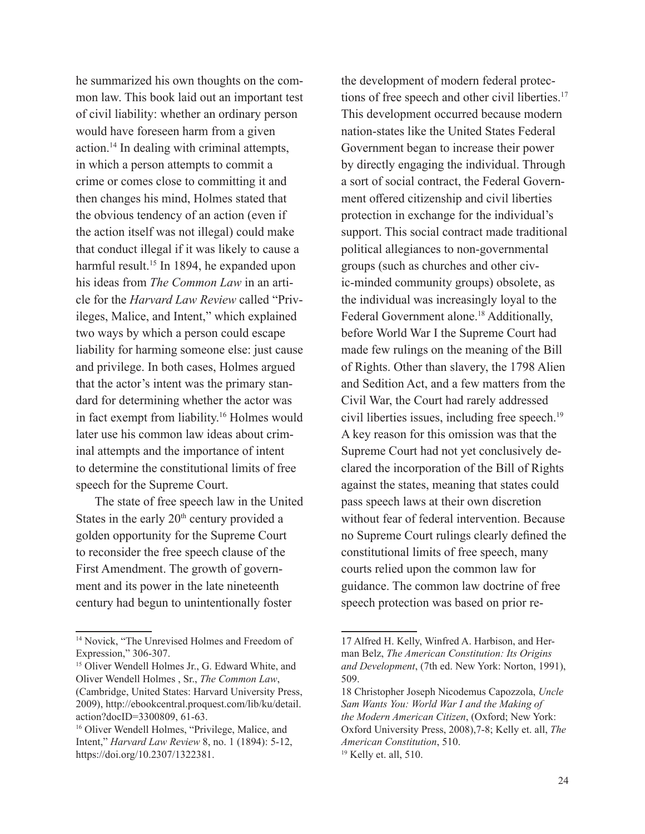he summarized his own thoughts on the common law. This book laid out an important test of civil liability: whether an ordinary person would have foreseen harm from a given action.14 In dealing with criminal attempts, in which a person attempts to commit a crime or comes close to committing it and then changes his mind, Holmes stated that the obvious tendency of an action (even if the action itself was not illegal) could make that conduct illegal if it was likely to cause a harmful result.<sup>15</sup> In 1894, he expanded upon his ideas from *The Common Law* in an article for the *Harvard Law Review* called "Privileges, Malice, and Intent," which explained two ways by which a person could escape liability for harming someone else: just cause and privilege. In both cases, Holmes argued that the actor's intent was the primary standard for determining whether the actor was in fact exempt from liability.16 Holmes would later use his common law ideas about criminal attempts and the importance of intent to determine the constitutional limits of free speech for the Supreme Court.

The state of free speech law in the United States in the early  $20<sup>th</sup>$  century provided a golden opportunity for the Supreme Court to reconsider the free speech clause of the First Amendment. The growth of government and its power in the late nineteenth century had begun to unintentionally foster

the development of modern federal protections of free speech and other civil liberties.<sup>17</sup> This development occurred because modern nation-states like the United States Federal Government began to increase their power by directly engaging the individual. Through a sort of social contract, the Federal Government offered citizenship and civil liberties protection in exchange for the individual's support. This social contract made traditional political allegiances to non-governmental groups (such as churches and other civic-minded community groups) obsolete, as the individual was increasingly loyal to the Federal Government alone.<sup>18</sup> Additionally, before World War I the Supreme Court had made few rulings on the meaning of the Bill of Rights. Other than slavery, the 1798 Alien and Sedition Act, and a few matters from the Civil War, the Court had rarely addressed civil liberties issues, including free speech.19 A key reason for this omission was that the Supreme Court had not yet conclusively declared the incorporation of the Bill of Rights against the states, meaning that states could pass speech laws at their own discretion without fear of federal intervention. Because no Supreme Court rulings clearly defined the constitutional limits of free speech, many courts relied upon the common law for guidance. The common law doctrine of free speech protection was based on prior re-

<sup>&</sup>lt;sup>14</sup> Novick, "The Unrevised Holmes and Freedom of Expression," 306-307.

<sup>&</sup>lt;sup>15</sup> Oliver Wendell Holmes Jr., G. Edward White, and Oliver Wendell Holmes , Sr., *The Common Law*, (Cambridge, United States: Harvard University Press, 2009), [http://ebookcentral.proquest.com/lib/ku/detail.](http://ebookcentral.proquest.com/lib/ku/detail.action?docID=3300809) [action?docID=3300809,](http://ebookcentral.proquest.com/lib/ku/detail.action?docID=3300809) 61-63.

<sup>&</sup>lt;sup>16</sup> Oliver Wendell Holmes, "Privilege, Malice, and Intent," *Harvard Law Review* 8, no. 1 (1894): 5-12, <https://doi.org/10.2307/1322381>.

<sup>17</sup> Alfred H. Kelly, Winfred A. Harbison, and Herman Belz, *The American Constitution: Its Origins and Development*, (7th ed. New York: Norton, 1991), 509.

<sup>18</sup> Christopher Joseph Nicodemus Capozzola, *Uncle Sam Wants You: World War I and the Making of the Modern American Citizen*, (Oxford; New York: Oxford University Press, 2008),7-8; Kelly et. all, *The American Constitution*, 510.

<sup>19</sup> Kelly et. all, 510.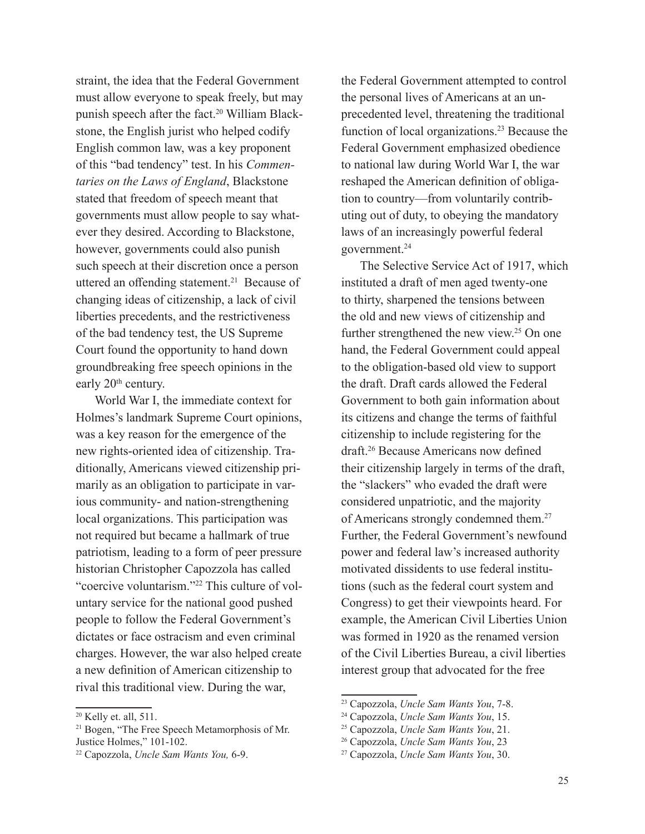straint, the idea that the Federal Government must allow everyone to speak freely, but may punish speech after the fact.<sup>20</sup> William Blackstone, the English jurist who helped codify English common law, was a key proponent of this "bad tendency" test. In his *Commentaries on the Laws of England*, Blackstone stated that freedom of speech meant that governments must allow people to say whatever they desired. According to Blackstone, however, governments could also punish such speech at their discretion once a person uttered an offending statement.<sup>21</sup> Because of changing ideas of citizenship, a lack of civil liberties precedents, and the restrictiveness of the bad tendency test, the US Supreme Court found the opportunity to hand down groundbreaking free speech opinions in the early 20<sup>th</sup> century.

World War I, the immediate context for Holmes's landmark Supreme Court opinions, was a key reason for the emergence of the new rights-oriented idea of citizenship. Traditionally, Americans viewed citizenship primarily as an obligation to participate in various community- and nation-strengthening local organizations. This participation was not required but became a hallmark of true patriotism, leading to a form of peer pressure historian Christopher Capozzola has called "coercive voluntarism."22 This culture of voluntary service for the national good pushed people to follow the Federal Government's dictates or face ostracism and even criminal charges. However, the war also helped create a new definition of American citizenship to rival this traditional view. During the war,

the Federal Government attempted to control the personal lives of Americans at an unprecedented level, threatening the traditional function of local organizations.23 Because the Federal Government emphasized obedience to national law during World War I, the war reshaped the American definition of obligation to country—from voluntarily contributing out of duty, to obeying the mandatory laws of an increasingly powerful federal government.24

The Selective Service Act of 1917, which instituted a draft of men aged twenty-one to thirty, sharpened the tensions between the old and new views of citizenship and further strengthened the new view.25 On one hand, the Federal Government could appeal to the obligation-based old view to support the draft. Draft cards allowed the Federal Government to both gain information about its citizens and change the terms of faithful citizenship to include registering for the draft.26 Because Americans now defined their citizenship largely in terms of the draft, the "slackers" who evaded the draft were considered unpatriotic, and the majority of Americans strongly condemned them.<sup>27</sup> Further, the Federal Government's newfound power and federal law's increased authority motivated dissidents to use federal institutions (such as the federal court system and Congress) to get their viewpoints heard. For example, the American Civil Liberties Union was formed in 1920 as the renamed version of the Civil Liberties Bureau, a civil liberties interest group that advocated for the free

<sup>&</sup>lt;sup>20</sup> Kelly et. all, 511.

<sup>&</sup>lt;sup>21</sup> Bogen, "The Free Speech Metamorphosis of Mr. Justice Holmes," 101-102.

<sup>22</sup> Capozzola, *Uncle Sam Wants You,* 6-9.

<sup>23</sup> Capozzola, *Uncle Sam Wants You*, 7-8.

<sup>24</sup> Capozzola, *Uncle Sam Wants You*, 15.

<sup>25</sup> Capozzola, *Uncle Sam Wants You*, 21.

<sup>26</sup> Capozzola, *Uncle Sam Wants You*, 23

<sup>27</sup> Capozzola, *Uncle Sam Wants You*, 30.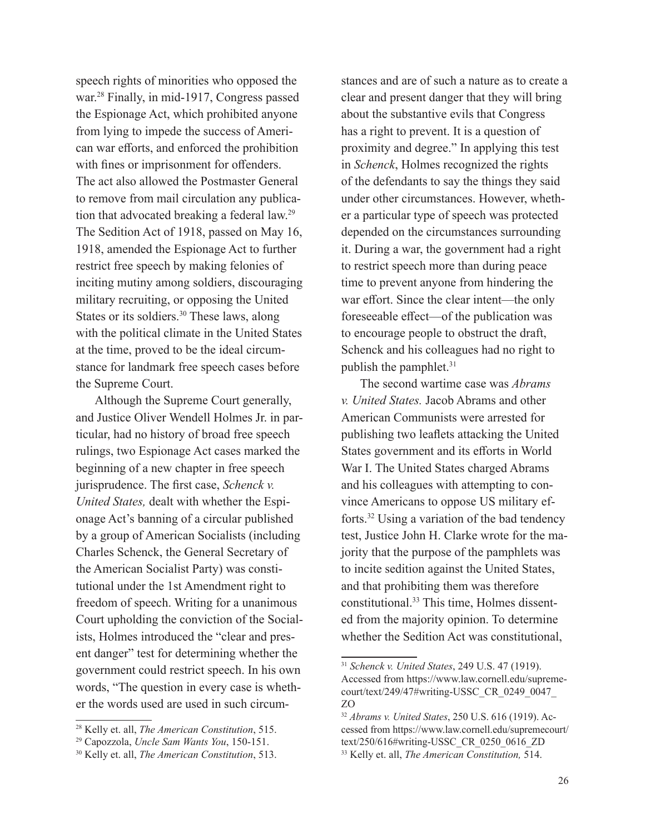speech rights of minorities who opposed the war.28 Finally, in mid-1917, Congress passed the Espionage Act, which prohibited anyone from lying to impede the success of American war efforts, and enforced the prohibition with fines or imprisonment for offenders. The act also allowed the Postmaster General to remove from mail circulation any publication that advocated breaking a federal law.29 The Sedition Act of 1918, passed on May 16, 1918, amended the Espionage Act to further restrict free speech by making felonies of inciting mutiny among soldiers, discouraging military recruiting, or opposing the United States or its soldiers.<sup>30</sup> These laws, along with the political climate in the United States at the time, proved to be the ideal circumstance for landmark free speech cases before the Supreme Court.

Although the Supreme Court generally, and Justice Oliver Wendell Holmes Jr. in particular, had no history of broad free speech rulings, two Espionage Act cases marked the beginning of a new chapter in free speech jurisprudence. The first case, *Schenck v. United States,* dealt with whether the Espionage Act's banning of a circular published by a group of American Socialists (including Charles Schenck, the General Secretary of the American Socialist Party) was constitutional under the 1st Amendment right to freedom of speech. Writing for a unanimous Court upholding the conviction of the Socialists, Holmes introduced the "clear and present danger" test for determining whether the government could restrict speech. In his own words, "The question in every case is whether the words used are used in such circumstances and are of such a nature as to create a clear and present danger that they will bring about the substantive evils that Congress has a right to prevent. It is a question of proximity and degree." In applying this test in *Schenck*, Holmes recognized the rights of the defendants to say the things they said under other circumstances. However, whether a particular type of speech was protected depended on the circumstances surrounding it. During a war, the government had a right to restrict speech more than during peace time to prevent anyone from hindering the war effort. Since the clear intent—the only foreseeable effect—of the publication was to encourage people to obstruct the draft, Schenck and his colleagues had no right to publish the pamphlet. $31$ 

The second wartime case was *Abrams v. United States.* Jacob Abrams and other American Communists were arrested for publishing two leaflets attacking the United States government and its efforts in World War I. The United States charged Abrams and his colleagues with attempting to convince Americans to oppose US military efforts.32 Using a variation of the bad tendency test, Justice John H. Clarke wrote for the majority that the purpose of the pamphlets was to incite sedition against the United States, and that prohibiting them was therefore constitutional.<sup>33</sup> This time, Holmes dissented from the majority opinion. To determine whether the Sedition Act was constitutional,

<sup>28</sup> Kelly et. all, *The American Constitution*, 515.

<sup>29</sup> Capozzola, *Uncle Sam Wants You*, 150-151.

<sup>30</sup> Kelly et. all, *The American Constitution*, 513.

<sup>31</sup> *Schenck v. United States*, 249 U.S. 47 (1919). Accessed from https://www.law.cornell.edu/supremecourt/text/249/47#writing-USSC\_CR\_0249\_0047\_ ZO

<sup>32</sup> *Abrams v. United States*, 250 U.S. 616 (1919). Accessed from https://www.law.cornell.edu/supremecourt/ text/250/616#writing-USSC\_CR\_0250\_0616\_ZD 33 Kelly et. all, *The American Constitution,* 514.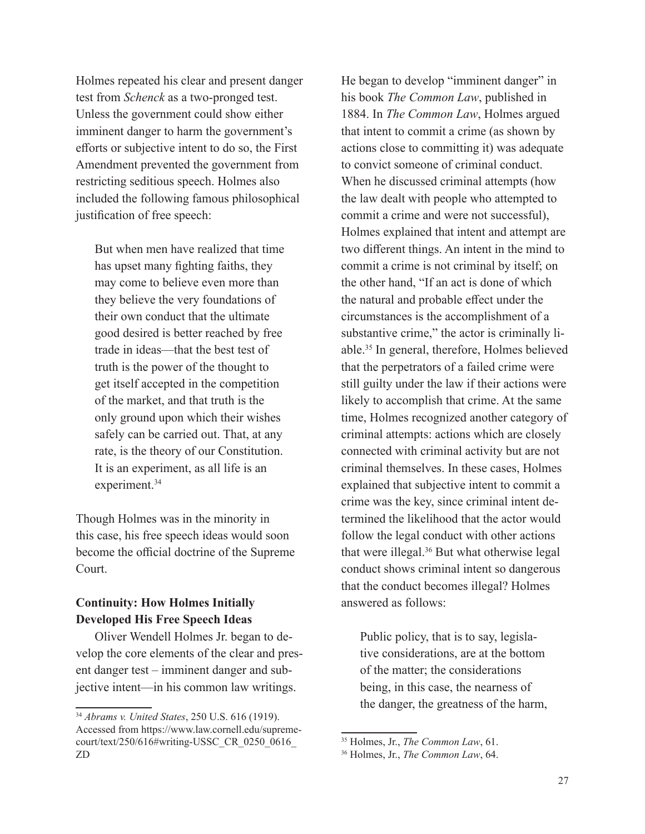Holmes repeated his clear and present danger test from *Schenck* as a two-pronged test. Unless the government could show either imminent danger to harm the government's efforts or subjective intent to do so, the First Amendment prevented the government from restricting seditious speech. Holmes also included the following famous philosophical justification of free speech:

But when men have realized that time has upset many fighting faiths, they may come to believe even more than they believe the very foundations of their own conduct that the ultimate good desired is better reached by free trade in ideas—that the best test of truth is the power of the thought to get itself accepted in the competition of the market, and that truth is the only ground upon which their wishes safely can be carried out. That, at any rate, is the theory of our Constitution. It is an experiment, as all life is an experiment.<sup>34</sup>

Though Holmes was in the minority in this case, his free speech ideas would soon become the official doctrine of the Supreme Court.

# **Continuity: How Holmes Initially Developed His Free Speech Ideas**

Oliver Wendell Holmes Jr. began to develop the core elements of the clear and present danger test – imminent danger and subjective intent—in his common law writings.

He began to develop "imminent danger" in his book *The Common Law*, published in 1884. In *The Common Law*, Holmes argued that intent to commit a crime (as shown by actions close to committing it) was adequate to convict someone of criminal conduct. When he discussed criminal attempts (how the law dealt with people who attempted to commit a crime and were not successful), Holmes explained that intent and attempt are two different things. An intent in the mind to commit a crime is not criminal by itself; on the other hand, "If an act is done of which the natural and probable effect under the circumstances is the accomplishment of a substantive crime," the actor is criminally liable.35 In general, therefore, Holmes believed that the perpetrators of a failed crime were still guilty under the law if their actions were likely to accomplish that crime. At the same time, Holmes recognized another category of criminal attempts: actions which are closely connected with criminal activity but are not criminal themselves. In these cases, Holmes explained that subjective intent to commit a crime was the key, since criminal intent determined the likelihood that the actor would follow the legal conduct with other actions that were illegal.36 But what otherwise legal conduct shows criminal intent so dangerous that the conduct becomes illegal? Holmes answered as follows:

Public policy, that is to say, legislative considerations, are at the bottom of the matter; the considerations being, in this case, the nearness of the danger, the greatness of the harm,

<sup>34</sup> *Abrams v. United States*, 250 U.S. 616 (1919). Accessed from https://www.law.cornell.edu/supremecourt/text/250/616#writing-USSC\_CR\_0250\_0616\_ ZD

<sup>35</sup> Holmes, Jr., *The Common Law*, 61.

<sup>36</sup> Holmes, Jr., *The Common Law*, 64.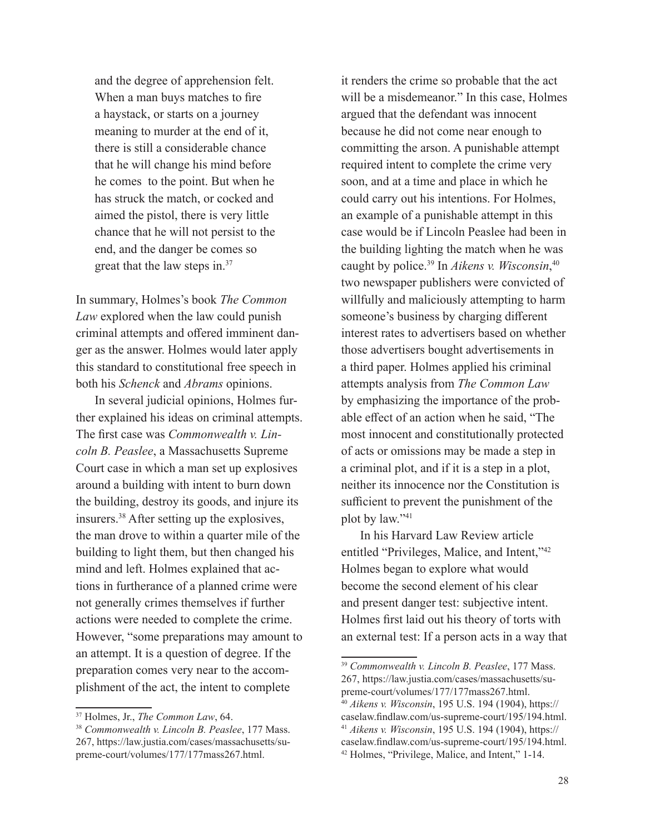and the degree of apprehension felt. When a man buys matches to fire a haystack, or starts on a journey meaning to murder at the end of it, there is still a considerable chance that he will change his mind before he comes to the point. But when he has struck the match, or cocked and aimed the pistol, there is very little chance that he will not persist to the end, and the danger be comes so great that the law steps in.37

In summary, Holmes's book *The Common Law* explored when the law could punish criminal attempts and offered imminent danger as the answer. Holmes would later apply this standard to constitutional free speech in both his *Schenck* and *Abrams* opinions.

In several judicial opinions, Holmes further explained his ideas on criminal attempts. The first case was *Commonwealth v. Lincoln B. Peaslee*, a Massachusetts Supreme Court case in which a man set up explosives around a building with intent to burn down the building, destroy its goods, and injure its insurers.38 After setting up the explosives, the man drove to within a quarter mile of the building to light them, but then changed his mind and left. Holmes explained that actions in furtherance of a planned crime were not generally crimes themselves if further actions were needed to complete the crime. However, "some preparations may amount to an attempt. It is a question of degree. If the preparation comes very near to the accomplishment of the act, the intent to complete

it renders the crime so probable that the act will be a misdemeanor." In this case, Holmes argued that the defendant was innocent because he did not come near enough to committing the arson. A punishable attempt required intent to complete the crime very soon, and at a time and place in which he could carry out his intentions. For Holmes, an example of a punishable attempt in this case would be if Lincoln Peaslee had been in the building lighting the match when he was caught by police.39 In *Aikens v. Wisconsin*, 40 two newspaper publishers were convicted of willfully and maliciously attempting to harm someone's business by charging different interest rates to advertisers based on whether those advertisers bought advertisements in a third paper. Holmes applied his criminal attempts analysis from *The Common Law* by emphasizing the importance of the probable effect of an action when he said, "The most innocent and constitutionally protected of acts or omissions may be made a step in a criminal plot, and if it is a step in a plot, neither its innocence nor the Constitution is sufficient to prevent the punishment of the plot by law."41

In his Harvard Law Review article entitled "Privileges, Malice, and Intent,"42 Holmes began to explore what would become the second element of his clear and present danger test: subjective intent. Holmes first laid out his theory of torts with an external test: If a person acts in a way that

<sup>37</sup> Holmes, Jr., *The Common Law*, 64.

<sup>38</sup> *Commonwealth v. Lincoln B. Peaslee*, 177 Mass. 267, https://law.justia.com/cases/massachusetts/supreme-court/volumes/177/177mass267.html.

<sup>39</sup> *Commonwealth v. Lincoln B. Peaslee*, 177 Mass. 267, https://law.justia.com/cases/massachusetts/supreme-court/volumes/177/177mass267.html. <sup>40</sup> *Aikens v. Wisconsin*, 195 U.S. 194 (1904), https://

caselaw.findlaw.com/us-supreme-court/195/194.html. <sup>41</sup> *Aikens v. Wisconsin*, 195 U.S. 194 (1904), https:// caselaw.findlaw.com/us-supreme-court/195/194.html. 42 Holmes, "Privilege, Malice, and Intent," 1-14.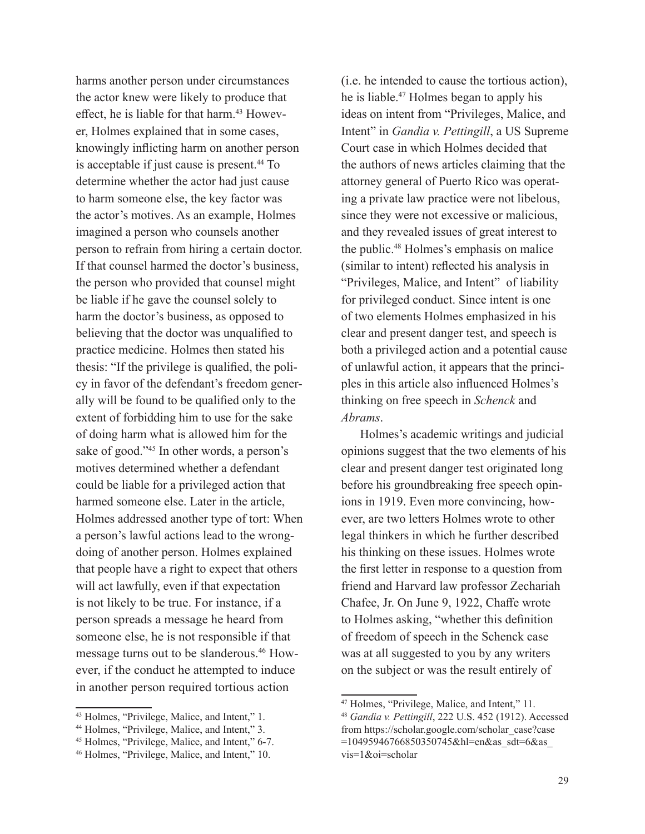harms another person under circumstances the actor knew were likely to produce that effect, he is liable for that harm.<sup>43</sup> However, Holmes explained that in some cases, knowingly inflicting harm on another person is acceptable if just cause is present.<sup>44</sup> To determine whether the actor had just cause to harm someone else, the key factor was the actor's motives. As an example, Holmes imagined a person who counsels another person to refrain from hiring a certain doctor. If that counsel harmed the doctor's business, the person who provided that counsel might be liable if he gave the counsel solely to harm the doctor's business, as opposed to believing that the doctor was unqualified to practice medicine. Holmes then stated his thesis: "If the privilege is qualified, the policy in favor of the defendant's freedom generally will be found to be qualified only to the extent of forbidding him to use for the sake of doing harm what is allowed him for the sake of good."45 In other words, a person's motives determined whether a defendant could be liable for a privileged action that harmed someone else. Later in the article, Holmes addressed another type of tort: When a person's lawful actions lead to the wrongdoing of another person. Holmes explained that people have a right to expect that others will act lawfully, even if that expectation is not likely to be true. For instance, if a person spreads a message he heard from someone else, he is not responsible if that message turns out to be slanderous.46 However, if the conduct he attempted to induce in another person required tortious action

(i.e. he intended to cause the tortious action), he is liable.<sup>47</sup> Holmes began to apply his ideas on intent from "Privileges, Malice, and Intent" in *Gandia v. Pettingill*, a US Supreme Court case in which Holmes decided that the authors of news articles claiming that the attorney general of Puerto Rico was operating a private law practice were not libelous, since they were not excessive or malicious, and they revealed issues of great interest to the public.48 Holmes's emphasis on malice (similar to intent) reflected his analysis in "Privileges, Malice, and Intent" of liability for privileged conduct. Since intent is one of two elements Holmes emphasized in his clear and present danger test, and speech is both a privileged action and a potential cause of unlawful action, it appears that the principles in this article also influenced Holmes's thinking on free speech in *Schenck* and *Abrams*.

Holmes's academic writings and judicial opinions suggest that the two elements of his clear and present danger test originated long before his groundbreaking free speech opinions in 1919. Even more convincing, however, are two letters Holmes wrote to other legal thinkers in which he further described his thinking on these issues. Holmes wrote the first letter in response to a question from friend and Harvard law professor Zechariah Chafee, Jr. On June 9, 1922, Chaffe wrote to Holmes asking, "whether this definition of freedom of speech in the Schenck case was at all suggested to you by any writers on the subject or was the result entirely of

<sup>43</sup> Holmes, "Privilege, Malice, and Intent," 1.

<sup>44</sup> Holmes, "Privilege, Malice, and Intent," 3.

<sup>45</sup> Holmes, "Privilege, Malice, and Intent," 6-7.

<sup>46</sup> Holmes, "Privilege, Malice, and Intent," 10.

<sup>47</sup> Holmes, "Privilege, Malice, and Intent," 11.

<sup>48</sup> *Gandia v. Pettingill*, 222 U.S. 452 (1912). Accessed from https://scholar.google.com/scholar\_case?case =10495946766850350745&hl=en&as\_sdt=6&as\_ vis=1&oi=scholar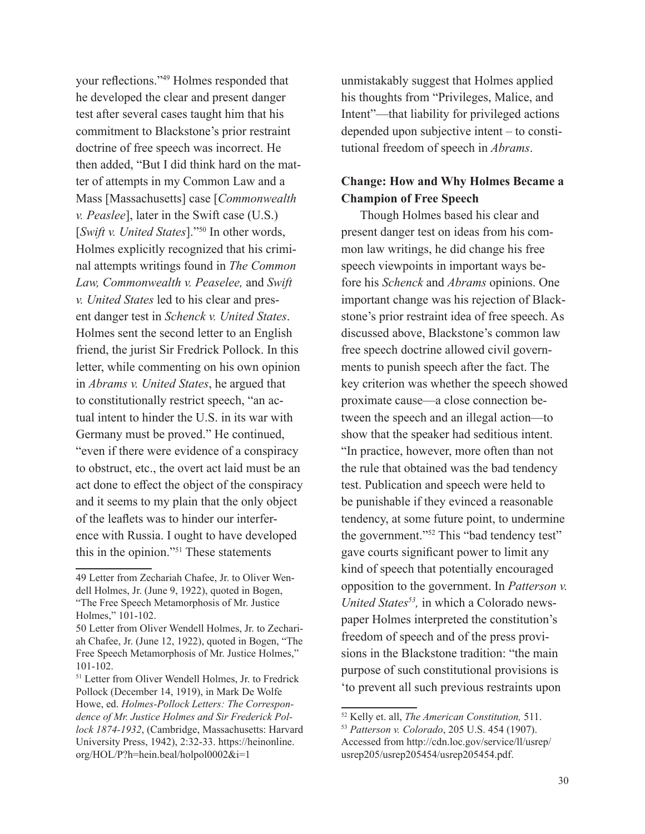your reflections."49 Holmes responded that he developed the clear and present danger test after several cases taught him that his commitment to Blackstone's prior restraint doctrine of free speech was incorrect. He then added, "But I did think hard on the matter of attempts in my Common Law and a Mass [Massachusetts] case [*Commonwealth v. Peaslee*], later in the Swift case (U.S.) [*Swift v. United States*]."50 In other words, Holmes explicitly recognized that his criminal attempts writings found in *The Common Law, Commonwealth v. Peaselee,* and *Swift v. United States* led to his clear and present danger test in *Schenck v. United States*. Holmes sent the second letter to an English friend, the jurist Sir Fredrick Pollock. In this letter, while commenting on his own opinion in *Abrams v. United States*, he argued that to constitutionally restrict speech, "an actual intent to hinder the U.S. in its war with Germany must be proved." He continued, "even if there were evidence of a conspiracy to obstruct, etc., the overt act laid must be an act done to effect the object of the conspiracy and it seems to my plain that the only object of the leaflets was to hinder our interference with Russia. I ought to have developed this in the opinion."51 These statements

unmistakably suggest that Holmes applied his thoughts from "Privileges, Malice, and Intent"—that liability for privileged actions depended upon subjective intent – to constitutional freedom of speech in *Abrams*.

## **Change: How and Why Holmes Became a Champion of Free Speech**

Though Holmes based his clear and present danger test on ideas from his common law writings, he did change his free speech viewpoints in important ways before his *Schenck* and *Abrams* opinions. One important change was his rejection of Blackstone's prior restraint idea of free speech. As discussed above, Blackstone's common law free speech doctrine allowed civil governments to punish speech after the fact. The key criterion was whether the speech showed proximate cause—a close connection between the speech and an illegal action—to show that the speaker had seditious intent. "In practice, however, more often than not the rule that obtained was the bad tendency test. Publication and speech were held to be punishable if they evinced a reasonable tendency, at some future point, to undermine the government."52 This "bad tendency test" gave courts significant power to limit any kind of speech that potentially encouraged opposition to the government. In *Patterson v. United States53,* in which a Colorado newspaper Holmes interpreted the constitution's freedom of speech and of the press provisions in the Blackstone tradition: "the main purpose of such constitutional provisions is 'to prevent all such previous restraints upon

<sup>49</sup> Letter from Zechariah Chafee, Jr. to Oliver Wendell Holmes, Jr. (June 9, 1922), quoted in Bogen, "The Free Speech Metamorphosis of Mr. Justice Holmes," 101-102.

<sup>50</sup> Letter from Oliver Wendell Holmes, Jr. to Zechariah Chafee, Jr. (June 12, 1922), quoted in Bogen, "The Free Speech Metamorphosis of Mr. Justice Holmes," 101-102.

<sup>&</sup>lt;sup>51</sup> Letter from Oliver Wendell Holmes, Jr. to Fredrick Pollock (December 14, 1919), in Mark De Wolfe Howe, ed. *Holmes-Pollock Letters: The Correspondence of Mr. Justice Holmes and Sir Frederick Pollock 1874-1932*, (Cambridge, Massachusetts: Harvard University Press, 1942), 2:32-33. https://heinonline. org/HOL/P?h=hein.beal/holpol0002&i=1

<sup>52</sup> Kelly et. all, *The American Constitution,* 511.

<sup>53</sup> *Patterson v. Colorado*, 205 U.S. 454 (1907). Accessed from http://cdn.loc.gov/service/ll/usrep/ usrep205/usrep205454/usrep205454.pdf.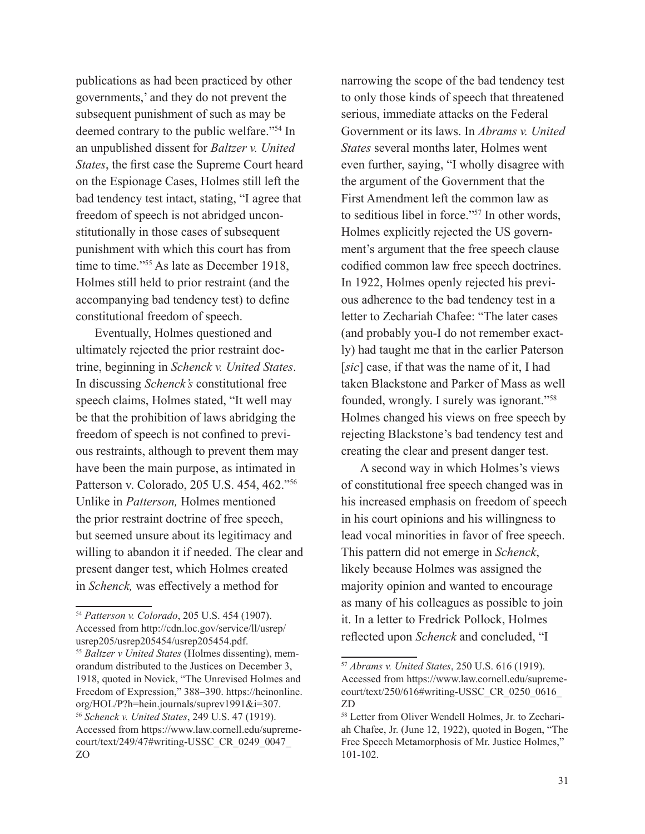publications as had been practiced by other governments,' and they do not prevent the subsequent punishment of such as may be deemed contrary to the public welfare."54 In an unpublished dissent for *Baltzer v. United States*, the first case the Supreme Court heard on the Espionage Cases, Holmes still left the bad tendency test intact, stating, "I agree that freedom of speech is not abridged unconstitutionally in those cases of subsequent punishment with which this court has from time to time."<sup>55</sup> As late as December 1918, Holmes still held to prior restraint (and the accompanying bad tendency test) to define constitutional freedom of speech.

Eventually, Holmes questioned and ultimately rejected the prior restraint doctrine, beginning in *Schenck v. United States*. In discussing *Schenck's* constitutional free speech claims, Holmes stated, "It well may be that the prohibition of laws abridging the freedom of speech is not confined to previous restraints, although to prevent them may have been the main purpose, as intimated in Patterson v. Colorado, 205 U.S. 454, 462."56 Unlike in *Patterson,* Holmes mentioned the prior restraint doctrine of free speech, but seemed unsure about its legitimacy and willing to abandon it if needed. The clear and present danger test, which Holmes created in *Schenck,* was effectively a method for

<sup>54</sup> *Patterson v. Colorado*, 205 U.S. 454 (1907). Accessed from http://cdn.loc.gov/service/ll/usrep/ usrep205/usrep205454/usrep205454.pdf. <sup>55</sup> *Baltzer v United States* (Holmes dissenting), memorandum distributed to the Justices on December 3, 1918, quoted in Novick, "The Unrevised Holmes and Freedom of Expression," 388–390. https://heinonline. org/HOL/P?h=hein.journals/suprev1991&i=307. <sup>56</sup> *Schenck v. United States*, 249 U.S. 47 (1919). Accessed from https://www.law.cornell.edu/supremecourt/text/249/47#writing-USSC\_CR\_0249\_0047\_ ZO

narrowing the scope of the bad tendency test to only those kinds of speech that threatened serious, immediate attacks on the Federal Government or its laws. In *Abrams v. United States* several months later, Holmes went even further, saying, "I wholly disagree with the argument of the Government that the First Amendment left the common law as to seditious libel in force."57 In other words, Holmes explicitly rejected the US government's argument that the free speech clause codified common law free speech doctrines. In 1922, Holmes openly rejected his previous adherence to the bad tendency test in a letter to Zechariah Chafee: "The later cases (and probably you-I do not remember exactly) had taught me that in the earlier Paterson [*sic*] case, if that was the name of it, I had taken Blackstone and Parker of Mass as well founded, wrongly. I surely was ignorant."58 Holmes changed his views on free speech by rejecting Blackstone's bad tendency test and creating the clear and present danger test.

A second way in which Holmes's views of constitutional free speech changed was in his increased emphasis on freedom of speech in his court opinions and his willingness to lead vocal minorities in favor of free speech. This pattern did not emerge in *Schenck*, likely because Holmes was assigned the majority opinion and wanted to encourage as many of his colleagues as possible to join it. In a letter to Fredrick Pollock, Holmes reflected upon *Schenck* and concluded, "I

<sup>57</sup> *Abrams v. United States*, 250 U.S. 616 (1919). Accessed from https://www.law.cornell.edu/supremecourt/text/250/616#writing-USSC\_CR\_0250\_0616\_ ZD

<sup>58</sup> Letter from Oliver Wendell Holmes, Jr. to Zechariah Chafee, Jr. (June 12, 1922), quoted in Bogen, "The Free Speech Metamorphosis of Mr. Justice Holmes," 101-102.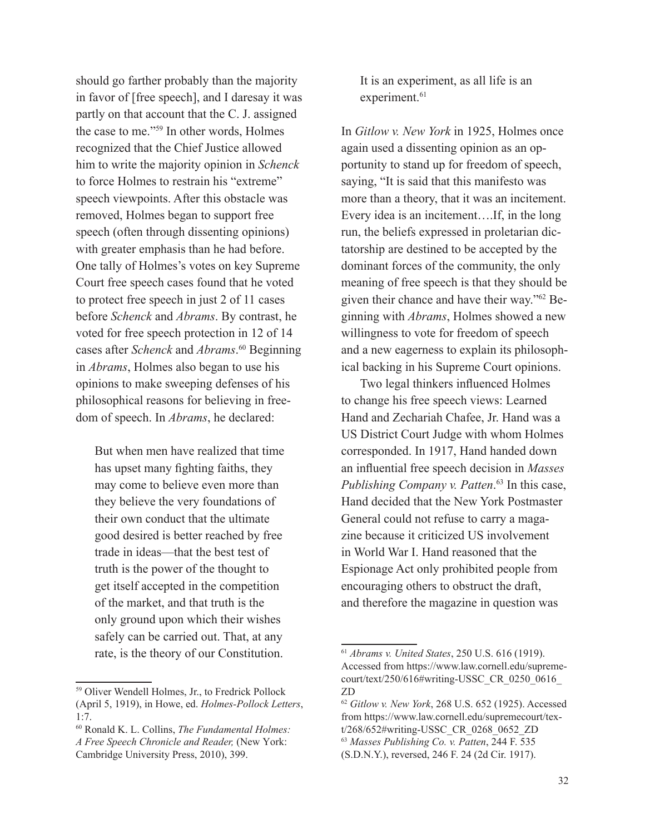should go farther probably than the majority in favor of [free speech], and I daresay it was partly on that account that the C. J. assigned the case to me."59 In other words, Holmes recognized that the Chief Justice allowed him to write the majority opinion in *Schenck*  to force Holmes to restrain his "extreme" speech viewpoints. After this obstacle was removed, Holmes began to support free speech (often through dissenting opinions) with greater emphasis than he had before. One tally of Holmes's votes on key Supreme Court free speech cases found that he voted to protect free speech in just 2 of 11 cases before *Schenck* and *Abrams*. By contrast, he voted for free speech protection in 12 of 14 cases after *Schenck* and *Abrams*. 60 Beginning in *Abrams*, Holmes also began to use his opinions to make sweeping defenses of his philosophical reasons for believing in freedom of speech. In *Abrams*, he declared:

But when men have realized that time has upset many fighting faiths, they may come to believe even more than they believe the very foundations of their own conduct that the ultimate good desired is better reached by free trade in ideas—that the best test of truth is the power of the thought to get itself accepted in the competition of the market, and that truth is the only ground upon which their wishes safely can be carried out. That, at any rate, is the theory of our Constitution.

It is an experiment, as all life is an experiment.<sup>61</sup>

In *Gitlow v. New York* in 1925, Holmes once again used a dissenting opinion as an opportunity to stand up for freedom of speech, saying, "It is said that this manifesto was more than a theory, that it was an incitement. Every idea is an incitement….If, in the long run, the beliefs expressed in proletarian dictatorship are destined to be accepted by the dominant forces of the community, the only meaning of free speech is that they should be given their chance and have their way."62 Beginning with *Abrams*, Holmes showed a new willingness to vote for freedom of speech and a new eagerness to explain its philosophical backing in his Supreme Court opinions.

Two legal thinkers influenced Holmes to change his free speech views: Learned Hand and Zechariah Chafee, Jr. Hand was a US District Court Judge with whom Holmes corresponded. In 1917, Hand handed down an influential free speech decision in *Masses Publishing Company v. Patten*. 63 In this case, Hand decided that the New York Postmaster General could not refuse to carry a magazine because it criticized US involvement in World War I. Hand reasoned that the Espionage Act only prohibited people from encouraging others to obstruct the draft, and therefore the magazine in question was

<sup>59</sup> Oliver Wendell Holmes, Jr., to Fredrick Pollock (April 5, 1919), in Howe, ed. *Holmes-Pollock Letters*, 1:7.

<sup>60</sup> Ronald K. L. Collins, *The Fundamental Holmes: A Free Speech Chronicle and Reader,* (New York:

Cambridge University Press, 2010), 399.

<sup>61</sup> *Abrams v. United States*, 250 U.S. 616 (1919). Accessed from https://www.law.cornell.edu/supremecourt/text/250/616#writing-USSC\_CR\_0250\_0616\_ ZD

<sup>62</sup> *Gitlow v. New York*, 268 U.S. 652 (1925). Accessed from https://www.law.cornell.edu/supremecourt/text/268/652#writing-USSC\_CR\_0268\_0652\_ZD <sup>63</sup> *Masses Publishing Co. v. Patten*, 244 F. 535 (S.D.N.Y.), reversed, 246 F. 24 (2d Cir. 1917).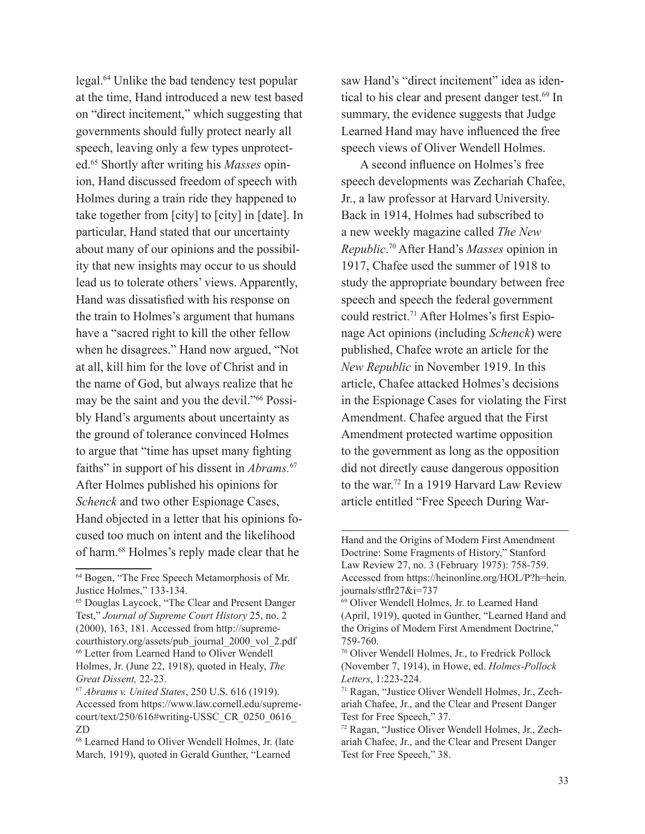legal.64 Unlike the bad tendency test popular at the time, Hand introduced a new test based on "direct incitement," which suggesting that governments should fully protect nearly all speech, leaving only a few types unprotected.65 Shortly after writing his *Masses* opinion, Hand discussed freedom of speech with Holmes during a train ride they happened to take together from [city] to [city] in [date]. In particular, Hand stated that our uncertainty about many of our opinions and the possibility that new insights may occur to us should lead us to tolerate others' views. Apparently, Hand was dissatisfied with his response on the train to Holmes's argument that humans have a "sacred right to kill the other fellow when he disagrees." Hand now argued, "Not at all, kill him for the love of Christ and in the name of God, but always realize that he may be the saint and you the devil."66 Possibly Hand's arguments about uncertainty as the ground of tolerance convinced Holmes to argue that "time has upset many fighting faiths" in support of his dissent in *Abrams.*<sup>67</sup> After Holmes published his opinions for *Schenck* and two other Espionage Cases, Hand objected in a letter that his opinions focused too much on intent and the likelihood of harm.68 Holmes's reply made clear that he

saw Hand's "direct incitement" idea as identical to his clear and present danger test.<sup>69</sup> In summary, the evidence suggests that Judge Learned Hand may have influenced the free speech views of Oliver Wendell Holmes.

A second influence on Holmes's free speech developments was Zechariah Chafee, Jr., a law professor at Harvard University. Back in 1914, Holmes had subscribed to a new weekly magazine called *The New Republic*. 70 After Hand's *Masses* opinion in 1917, Chafee used the summer of 1918 to study the appropriate boundary between free speech and speech the federal government could restrict.71 After Holmes's first Espionage Act opinions (including *Schenck*) were published, Chafee wrote an article for the *New Republic* in November 1919. In this article, Chafee attacked Holmes's decisions in the Espionage Cases for violating the First Amendment. Chafee argued that the First Amendment protected wartime opposition to the government as long as the opposition did not directly cause dangerous opposition to the war.<sup>72</sup> In a 1919 Harvard Law Review article entitled "Free Speech During War-

<sup>64</sup> Bogen, "The Free Speech Metamorphosis of Mr. Justice Holmes," 133-134.

<sup>65</sup> Douglas Laycock, "The Clear and Present Danger Test," *Journal of Supreme Court History* 25, no. 2 (2000), 163, 181. Accessed from http://supremecourthistory.org/assets/pub\_journal\_2000\_vol\_2.pdf 66 Letter from Learned Hand to Oliver Wendell Holmes, Jr. (June 22, 1918), quoted in Healy, *The Great Dissent,* 22-23.

<sup>67</sup> *Abrams v. United States*, 250 U.S. 616 (1919). Accessed from https://www.law.cornell.edu/supremecourt/text/250/616#writing-USSC\_CR\_0250\_0616\_ ZD

<sup>68</sup> Learned Hand to Oliver Wendell Holmes, Jr. (late March, 1919), quoted in Gerald Gunther, "Learned

Hand and the Origins of Modern First Amendment Doctrine: Some Fragments of History," Stanford Law Review 27, no. 3 (February 1975): 758-759. Accessed from https://heinonline.org/HOL/P?h=hein. journals/stflr27&i=737

<sup>69</sup> Oliver Wendell Holmes, Jr. to Learned Hand (April, 1919), quoted in Gunther, "Learned Hand and the Origins of Modern First Amendment Doctrine," 759-760.

<sup>70</sup> Oliver Wendell Holmes, Jr., to Fredrick Pollock (November 7, 1914), in Howe, ed. *Holmes-Pollock Letters*, 1:223-224.

<sup>71</sup> Ragan, "Justice Oliver Wendell Holmes, Jr., Zechariah Chafee, Jr., and the Clear and Present Danger Test for Free Speech," 37.

<sup>72</sup> Ragan, "Justice Oliver Wendell Holmes, Jr., Zechariah Chafee, Jr., and the Clear and Present Danger Test for Free Speech," 38.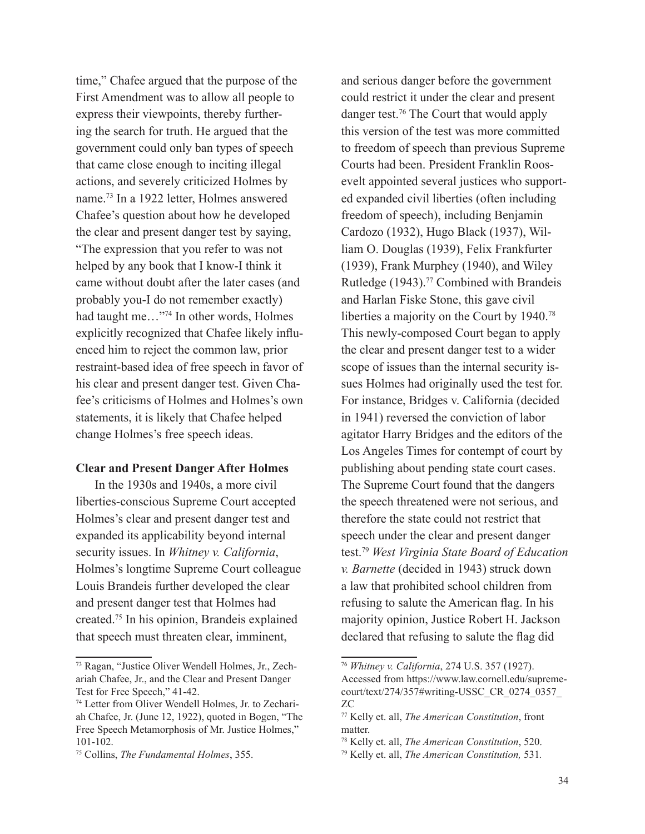time," Chafee argued that the purpose of the First Amendment was to allow all people to express their viewpoints, thereby furthering the search for truth. He argued that the government could only ban types of speech that came close enough to inciting illegal actions, and severely criticized Holmes by name.73 In a 1922 letter, Holmes answered Chafee's question about how he developed the clear and present danger test by saying, "The expression that you refer to was not helped by any book that I know-I think it came without doubt after the later cases (and probably you-I do not remember exactly) had taught me…"74 In other words, Holmes explicitly recognized that Chafee likely influenced him to reject the common law, prior restraint-based idea of free speech in favor of his clear and present danger test. Given Chafee's criticisms of Holmes and Holmes's own statements, it is likely that Chafee helped change Holmes's free speech ideas.

### **Clear and Present Danger After Holmes**

In the 1930s and 1940s, a more civil liberties-conscious Supreme Court accepted Holmes's clear and present danger test and expanded its applicability beyond internal security issues. In *Whitney v. California*, Holmes's longtime Supreme Court colleague Louis Brandeis further developed the clear and present danger test that Holmes had created.75 In his opinion, Brandeis explained that speech must threaten clear, imminent,

and serious danger before the government could restrict it under the clear and present danger test.76 The Court that would apply this version of the test was more committed to freedom of speech than previous Supreme Courts had been. President Franklin Roosevelt appointed several justices who supported expanded civil liberties (often including freedom of speech), including Benjamin Cardozo (1932), Hugo Black (1937), William O. Douglas (1939), Felix Frankfurter (1939), Frank Murphey (1940), and Wiley Rutledge (1943).<sup>77</sup> Combined with Brandeis and Harlan Fiske Stone, this gave civil liberties a majority on the Court by 1940.78 This newly-composed Court began to apply the clear and present danger test to a wider scope of issues than the internal security issues Holmes had originally used the test for. For instance, Bridges v. California (decided in 1941) reversed the conviction of labor agitator Harry Bridges and the editors of the Los Angeles Times for contempt of court by publishing about pending state court cases. The Supreme Court found that the dangers the speech threatened were not serious, and therefore the state could not restrict that speech under the clear and present danger test.79 *West Virginia State Board of Education v. Barnette* (decided in 1943) struck down a law that prohibited school children from refusing to salute the American flag. In his majority opinion, Justice Robert H. Jackson declared that refusing to salute the flag did

<sup>73</sup> Ragan, "Justice Oliver Wendell Holmes, Jr., Zechariah Chafee, Jr., and the Clear and Present Danger Test for Free Speech," 41-42.

<sup>74</sup> Letter from Oliver Wendell Holmes, Jr. to Zechariah Chafee, Jr. (June 12, 1922), quoted in Bogen, "The Free Speech Metamorphosis of Mr. Justice Holmes," 101-102.

<sup>75</sup> Collins, *The Fundamental Holmes*, 355.

<sup>76</sup> *Whitney v. California*, 274 U.S. 357 (1927). Accessed from https://www.law.cornell.edu/supremecourt/text/274/357#writing-USSC\_CR\_0274\_0357\_ ZC

<sup>77</sup> Kelly et. all, *The American Constitution*, front matter.

<sup>78</sup> Kelly et. all, *The American Constitution*, 520.

<sup>79</sup> Kelly et. all, *The American Constitution,* 531*.*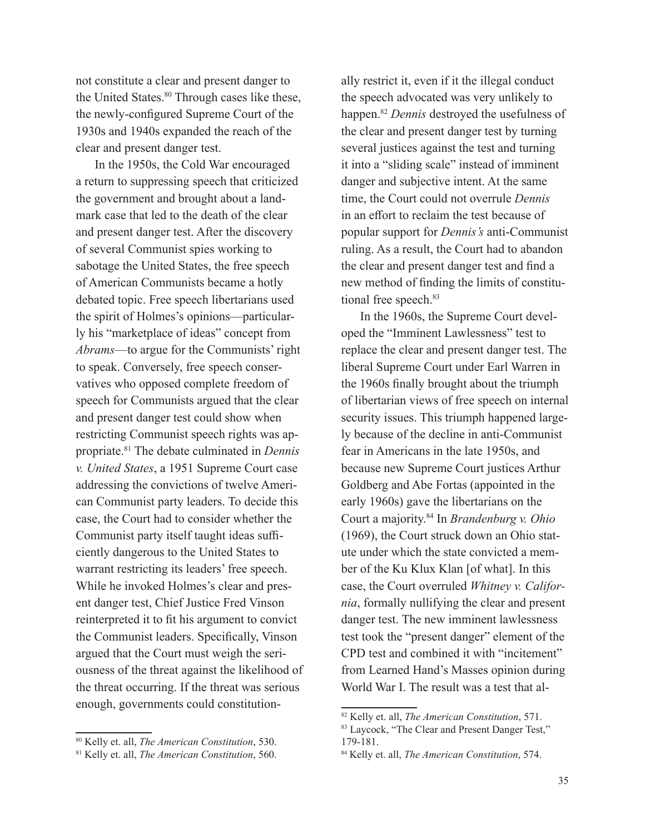not constitute a clear and present danger to the United States.<sup>80</sup> Through cases like these, the newly-configured Supreme Court of the 1930s and 1940s expanded the reach of the clear and present danger test.

In the 1950s, the Cold War encouraged a return to suppressing speech that criticized the government and brought about a landmark case that led to the death of the clear and present danger test. After the discovery of several Communist spies working to sabotage the United States, the free speech of American Communists became a hotly debated topic. Free speech libertarians used the spirit of Holmes's opinions—particularly his "marketplace of ideas" concept from *Abrams*—to argue for the Communists' right to speak. Conversely, free speech conservatives who opposed complete freedom of speech for Communists argued that the clear and present danger test could show when restricting Communist speech rights was appropriate.81 The debate culminated in *Dennis v. United States*, a 1951 Supreme Court case addressing the convictions of twelve American Communist party leaders. To decide this case, the Court had to consider whether the Communist party itself taught ideas sufficiently dangerous to the United States to warrant restricting its leaders' free speech. While he invoked Holmes's clear and present danger test, Chief Justice Fred Vinson reinterpreted it to fit his argument to convict the Communist leaders. Specifically, Vinson argued that the Court must weigh the seriousness of the threat against the likelihood of the threat occurring. If the threat was serious enough, governments could constitution-

80 Kelly et. all, *The American Constitution*, 530.

ally restrict it, even if it the illegal conduct the speech advocated was very unlikely to happen.82 *Dennis* destroyed the usefulness of the clear and present danger test by turning several justices against the test and turning it into a "sliding scale" instead of imminent danger and subjective intent. At the same time, the Court could not overrule *Dennis* in an effort to reclaim the test because of popular support for *Dennis's* anti-Communist ruling. As a result, the Court had to abandon the clear and present danger test and find a new method of finding the limits of constitutional free speech.<sup>83</sup>

In the 1960s, the Supreme Court developed the "Imminent Lawlessness" test to replace the clear and present danger test. The liberal Supreme Court under Earl Warren in the 1960s finally brought about the triumph of libertarian views of free speech on internal security issues. This triumph happened largely because of the decline in anti-Communist fear in Americans in the late 1950s, and because new Supreme Court justices Arthur Goldberg and Abe Fortas (appointed in the early 1960s) gave the libertarians on the Court a majority.84 In *Brandenburg v. Ohio* (1969), the Court struck down an Ohio statute under which the state convicted a member of the Ku Klux Klan [of what]. In this case, the Court overruled *Whitney v. California*, formally nullifying the clear and present danger test. The new imminent lawlessness test took the "present danger" element of the CPD test and combined it with "incitement" from Learned Hand's Masses opinion during World War I. The result was a test that al-

<sup>81</sup> Kelly et. all, *The American Constitution*, 560.

<sup>82</sup> Kelly et. all, *The American Constitution*, 571.

<sup>83</sup> Laycock, "The Clear and Present Danger Test," 179-181.

<sup>84</sup> Kelly et. all, *The American Constitution*, 574.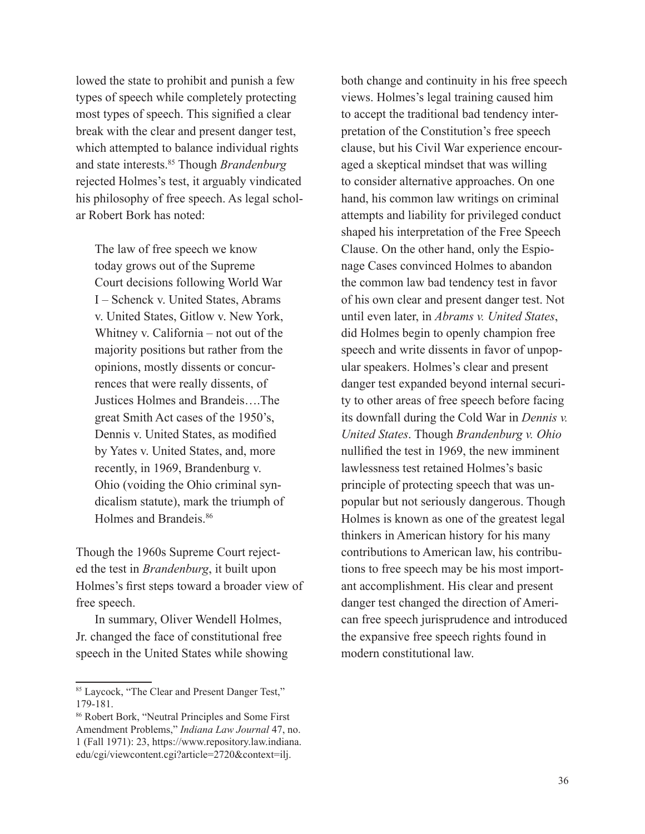lowed the state to prohibit and punish a few types of speech while completely protecting most types of speech. This signified a clear break with the clear and present danger test, which attempted to balance individual rights and state interests.85 Though *Brandenburg*  rejected Holmes's test, it arguably vindicated his philosophy of free speech. As legal scholar Robert Bork has noted:

The law of free speech we know today grows out of the Supreme Court decisions following World War I – Schenck v. United States, Abrams v. United States, Gitlow v. New York, Whitney v. California – not out of the majority positions but rather from the opinions, mostly dissents or concurrences that were really dissents, of Justices Holmes and Brandeis….The great Smith Act cases of the 1950's, Dennis v. United States, as modified by Yates v. United States, and, more recently, in 1969, Brandenburg v. Ohio (voiding the Ohio criminal syndicalism statute), mark the triumph of Holmes and Brandeis.<sup>86</sup>

Though the 1960s Supreme Court rejected the test in *Brandenburg*, it built upon Holmes's first steps toward a broader view of free speech.

In summary, Oliver Wendell Holmes, Jr. changed the face of constitutional free speech in the United States while showing both change and continuity in his free speech views. Holmes's legal training caused him to accept the traditional bad tendency interpretation of the Constitution's free speech clause, but his Civil War experience encouraged a skeptical mindset that was willing to consider alternative approaches. On one hand, his common law writings on criminal attempts and liability for privileged conduct shaped his interpretation of the Free Speech Clause. On the other hand, only the Espionage Cases convinced Holmes to abandon the common law bad tendency test in favor of his own clear and present danger test. Not until even later, in *Abrams v. United States*, did Holmes begin to openly champion free speech and write dissents in favor of unpopular speakers. Holmes's clear and present danger test expanded beyond internal security to other areas of free speech before facing its downfall during the Cold War in *Dennis v. United States*. Though *Brandenburg v. Ohio* nullified the test in 1969, the new imminent lawlessness test retained Holmes's basic principle of protecting speech that was unpopular but not seriously dangerous. Though Holmes is known as one of the greatest legal thinkers in American history for his many contributions to American law, his contributions to free speech may be his most important accomplishment. His clear and present danger test changed the direction of American free speech jurisprudence and introduced the expansive free speech rights found in modern constitutional law.

<sup>85</sup> Laycock, "The Clear and Present Danger Test," 179-181.

<sup>86</sup> Robert Bork, "Neutral Principles and Some First Amendment Problems," *Indiana Law Journal* 47, no. 1 (Fall 1971): 23, https://www.repository.law.indiana. edu/cgi/viewcontent.cgi?article=2720&context=ilj.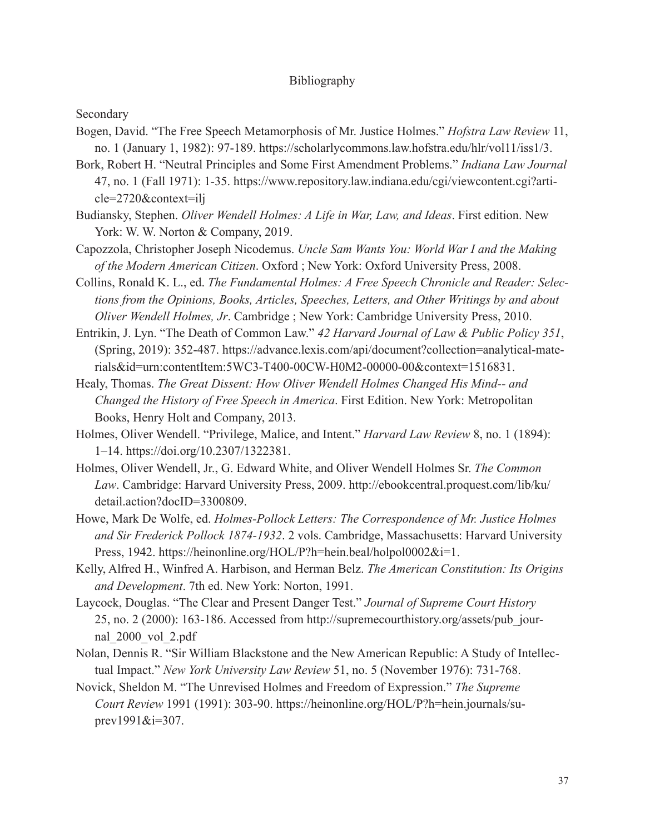### Bibliography

#### Secondary

- Bogen, David. "The Free Speech Metamorphosis of Mr. Justice Holmes." *Hofstra Law Review* 11, no. 1 (January 1, 1982): 97-189. [https://scholarlycommons.law.hofstra.edu/hlr/vol11/iss1/3.](https://scholarlycommons.law.hofstra.edu/hlr/vol11/iss1/3)
- Bork, Robert H. "Neutral Principles and Some First Amendment Problems." *Indiana Law Journal* 47, no. 1 (Fall 1971): 1-35. [https://www.repository.law.indiana.edu/cgi/viewcontent.cgi?arti](https://www.repository.law.indiana.edu/cgi/viewcontent.cgi?article=2720&context=ilj)[cle=2720&context=ilj](https://www.repository.law.indiana.edu/cgi/viewcontent.cgi?article=2720&context=ilj)
- Budiansky, Stephen. *Oliver Wendell Holmes: A Life in War, Law, and Ideas*. First edition. New York: W. W. Norton & Company, 2019.
- Capozzola, Christopher Joseph Nicodemus. *Uncle Sam Wants You: World War I and the Making of the Modern American Citizen*. Oxford ; New York: Oxford University Press, 2008.
- Collins, Ronald K. L., ed. *The Fundamental Holmes: A Free Speech Chronicle and Reader: Selections from the Opinions, Books, Articles, Speeches, Letters, and Other Writings by and about Oliver Wendell Holmes, Jr*. Cambridge ; New York: Cambridge University Press, 2010.
- Entrikin, J. Lyn. "The Death of Common Law." *42 Harvard Journal of Law & Public Policy 351*, (Spring, 2019): 352-487. https://advance.lexis.com/api/document?collection=analytical-materials&id=urn:contentItem:5WC3-T400-00CW-H0M2-00000-00&context=1516831.
- Healy, Thomas. *The Great Dissent: How Oliver Wendell Holmes Changed His Mind-- and Changed the History of Free Speech in America*. First Edition. New York: Metropolitan Books, Henry Holt and Company, 2013.
- Holmes, Oliver Wendell. "Privilege, Malice, and Intent." *Harvard Law Review* 8, no. 1 (1894): 1–14. <https://doi.org/10.2307/1322381>.
- Holmes, Oliver Wendell, Jr., G. Edward White, and Oliver Wendell Holmes Sr. *The Common Law*. Cambridge: Harvard University Press, 2009. [http://ebookcentral.proquest.com/lib/ku/](http://ebookcentral.proquest.com/lib/ku/detail.action?docID=3300809) [detail.action?docID=3300809.](http://ebookcentral.proquest.com/lib/ku/detail.action?docID=3300809)
- Howe, Mark De Wolfe, ed. *Holmes-Pollock Letters: The Correspondence of Mr. Justice Holmes and Sir Frederick Pollock 1874-1932*. 2 vols. Cambridge, Massachusetts: Harvard University Press, 1942. https://heinonline.org/HOL/P?h=hein.beal/holpol0002&i=1.
- Kelly, Alfred H., Winfred A. Harbison, and Herman Belz. *The American Constitution: Its Origins and Development*. 7th ed. New York: Norton, 1991.
- Laycock, Douglas. "The Clear and Present Danger Test." *Journal of Supreme Court History* 25, no. 2 (2000): 163-186. Accessed from http://supremecourthistory.org/assets/pub\_journal\_2000\_vol\_2.pdf
- Nolan, Dennis R. "Sir William Blackstone and the New American Republic: A Study of Intellectual Impact." *New York University Law Review* 51, no. 5 (November 1976): 731-768.
- Novick, Sheldon M. "The Unrevised Holmes and Freedom of Expression." *The Supreme Court Review* 1991 (1991): 303-90. https://heinonline.org/HOL/P?h=hein.journals/suprev1991&i=307.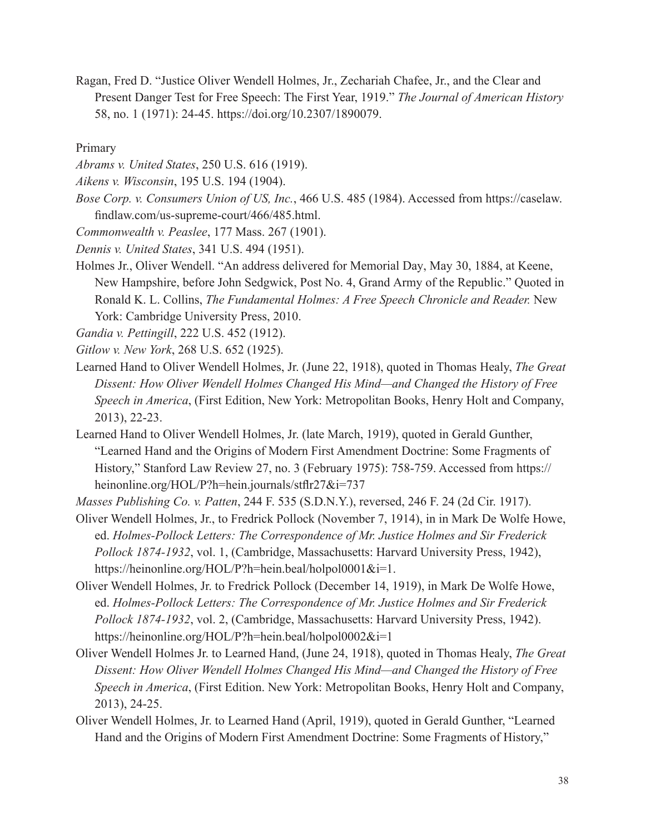Ragan, Fred D. "Justice Oliver Wendell Holmes, Jr., Zechariah Chafee, Jr., and the Clear and Present Danger Test for Free Speech: The First Year, 1919." *The Journal of American History* 58, no. 1 (1971): 24-45. [https://doi.org/10.2307/1890079.](https://doi.org/10.2307/1890079)

Primary

- *Abrams v. United States*, 250 U.S. 616 (1919).
- *Aikens v. Wisconsin*, 195 U.S. 194 (1904).
- *Bose Corp. v. Consumers Union of US, Inc.*, 466 U.S. 485 (1984). Accessed from https://caselaw. findlaw.com/us-supreme-court/466/485.html.
- *Commonwealth v. Peaslee*, 177 Mass. 267 (1901).
- *Dennis v. United States*, 341 U.S. 494 (1951).
- Holmes Jr., Oliver Wendell. "An address delivered for Memorial Day, May 30, 1884, at Keene, New Hampshire, before John Sedgwick, Post No. 4, Grand Army of the Republic." Quoted in Ronald K. L. Collins, *The Fundamental Holmes: A Free Speech Chronicle and Reader.* New York: Cambridge University Press, 2010.

*Gandia v. Pettingill*, 222 U.S. 452 (1912).

- *Gitlow v. New York*, 268 U.S. 652 (1925).
- Learned Hand to Oliver Wendell Holmes, Jr. (June 22, 1918), quoted in Thomas Healy, *The Great Dissent: How Oliver Wendell Holmes Changed His Mind—and Changed the History of Free Speech in America*, (First Edition, New York: Metropolitan Books, Henry Holt and Company, 2013), 22-23.
- Learned Hand to Oliver Wendell Holmes, Jr. (late March, 1919), quoted in Gerald Gunther, "Learned Hand and the Origins of Modern First Amendment Doctrine: Some Fragments of History," Stanford Law Review 27, no. 3 (February 1975): 758-759. Accessed from https:// heinonline.org/HOL/P?h=hein.journals/stflr27&i=737
- *Masses Publishing Co. v. Patten*, 244 F. 535 (S.D.N.Y.), reversed, 246 F. 24 (2d Cir. 1917).
- Oliver Wendell Holmes, Jr., to Fredrick Pollock (November 7, 1914), in in Mark De Wolfe Howe, ed. *Holmes-Pollock Letters: The Correspondence of Mr. Justice Holmes and Sir Frederick Pollock 1874-1932*, vol. 1, (Cambridge, Massachusetts: Harvard University Press, 1942), https://heinonline.org/HOL/P?h=hein.beal/holpol0001&i=1.
- Oliver Wendell Holmes, Jr. to Fredrick Pollock (December 14, 1919), in Mark De Wolfe Howe, ed. *Holmes-Pollock Letters: The Correspondence of Mr. Justice Holmes and Sir Frederick Pollock 1874-1932*, vol. 2, (Cambridge, Massachusetts: Harvard University Press, 1942). https://heinonline.org/HOL/P?h=hein.beal/holpol0002&i=1
- Oliver Wendell Holmes Jr. to Learned Hand, (June 24, 1918), quoted in Thomas Healy, *The Great Dissent: How Oliver Wendell Holmes Changed His Mind—and Changed the History of Free Speech in America*, (First Edition. New York: Metropolitan Books, Henry Holt and Company, 2013), 24-25.
- Oliver Wendell Holmes, Jr. to Learned Hand (April, 1919), quoted in Gerald Gunther, "Learned Hand and the Origins of Modern First Amendment Doctrine: Some Fragments of History,"